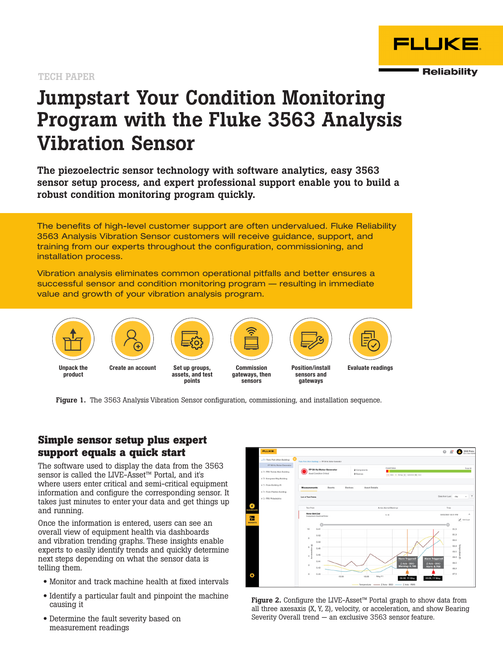#### TECH PAPER

# Jumpstart Your Condition Monitoring Program with the Fluke 3563 Analysis Vibration Sensor

The piezoelectric sensor technology with software analytics, easy 3563 sensor setup process, and expert professional support enable you to build a robust condition monitoring program quickly.

The benefits of high-level customer support are often undervalued. Fluke Reliability 3563 Analysis Vibration Sensor customers will receive guidance, support, and training from our experts throughout the configuration, commissioning, and installation process.

Vibration analysis eliminates common operational pitfalls and better ensures a successful sensor and condition monitoring program — resulting in immediate value and growth of your vibration analysis program.



Figure 1. The 3563 Analysis Vibration Sensor configuration, commissioning, and installation sequence.

# **Simple sensor setup plus expert support equals a quick start**

The software used to display the data from the 3563 sensor is called the LIVE-Asset™ Portal, and it's where users enter critical and semi-critical equipment information and configure the corresponding sensor. It takes just minutes to enter your data and get things up and running.

Once the information is entered, users can see an overall view of equipment health via dashboards and vibration trending graphs. These insights enable experts to easily identify trends and quickly determine next steps depending on what the sensor data is telling them.

- Monitor and track machine health at fixed intervals
- Identify a particular fault and pinpoint the machine causing it
- Determine the fault severity based on measurement readings



Figure 2. Configure the LIVE-Asset<sup>™</sup> Portal graph to show data from all three axesaxis (X, Y, Z), velocity, or acceleration, and show Bearing Severity Overall trend — an exclusive 3563 sensor feature.

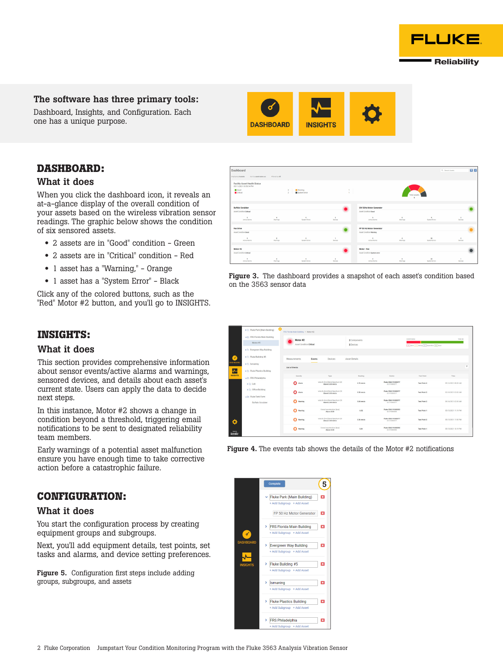#### The software has three primary tools:

Dashboard, Insights, and Configuration. Each one has a unique purpose.

# **DASHBOARD:**

#### What it does

When you click the dashboard icon, it reveals an at-a-glance display of the overall condition of your assets based on the wireless vibration sensor readings. The graphic below shows the condition of six sensored assets.

- 2 assets are in "Good" condition Green
- 2 assets are in "Critical" condition Red
- 1 asset has a "Warning," Orange
- 1 asset has a "System Error" Black

Click any of the colored buttons, such as the "Red" Motor #2 button, and you'll go to INSIGHTS.

# **INSIGHTS:**

#### What it does

This section provides comprehensive information about sensor events/active alarms and warnings, sensored devices, and details about each asset's current state. Users can apply the data to decide next steps.

In this instance, Motor #2 shows a change in condition beyond a threshold, triggering email notifications to be sent to designated reliability team members.

Early warnings of a potential asset malfunction ensure you have enough time to take corrective action before a catastrophic failure.

# **CONFIGURATION:**

#### What it does

You start the configuration process by creating equipment groups and subgroups.

Next, you'll add equipment details, test points, set tasks and alarms, and device setting preferences.

**Figure 5.** Configuration first steps include adding groups, subgroups, and assets

Figure 3. The dashboard provides a snapshot of each asset's condition based on the 3563 sensor data

 $\sim$ 

|                                 | > Ct Fluke Park (Main Building)                       | $\alpha$<br>FRS Florida Main Building > Motor #2 |                                                    |                           |                                     |                                   |                     |
|---------------------------------|-------------------------------------------------------|--------------------------------------------------|----------------------------------------------------|---------------------------|-------------------------------------|-----------------------------------|---------------------|
|                                 | v B FRS Florida Main Building<br>Motor #2             | Motor #2<br>Asset Condition Critical             |                                                    | 2 Components<br>2 Devices | Overall status                      | 11 Alam 1 Wanty 2 Submitry 31 God | Total: 46           |
|                                 | > Co Evergreen Way Building<br>> C: Fluke Building #5 |                                                  |                                                    |                           |                                     |                                   |                     |
| $\mathbf{r}$<br><b>MSHBOARD</b> | $>$ $\square$ Ismaning                                | Measurements                                     | Devices<br>Events                                  | <b>Asset Details</b>      |                                     |                                   | $\tau$              |
| ₩<br><b>INSIGHTS</b>            | > Co Fluke Plastics Building                          | <b>List of Events</b><br>Severity                | Type                                               | Reading                   | Device                              | <b>Test Point</b>                 | Time.               |
|                                 | v <sup>2</sup> FRS Philadelphia<br>$> 0$ Lab          | Ω<br>Alarm                                       | velocity [rms] Band Spectrum 2X<br>Above 3.30 mm/s | 3.70 mm/s                 | Fluke-3563 91000077<br>10: 91000077 | <b>Test Point 2</b>               | 05/14/2021 08:00 AM |
|                                 | > C Office Building<br>with Fluke Tank Farm           | $\Omega$ Alern                                   | velocity limal Band Spectrum 2X<br>Above 3.30 mm/s | 3.33 mm/s                 | Fluke-3563 91000077<br>ID/ 91000077 | Test Point 2                      | 05/14/2021 05:00 AM |
|                                 | <b>Buffalo Scrubber</b>                               | n<br>Warning                                     | velocity limal Rand Spectrum 2X<br>Above 2.00 mm/s | 3.04 mm/s                 | Fluke-3563 91000077<br>10:91000077  | <b>Test Point 2</b>               | 05/14/2021 02:00 AM |
|                                 |                                                       | Ω<br>Warning                                     | Overall acceleration (boo)<br>Above 5.50           | 6.02                      | Fluke-3563 91000093<br>10: 91000093 | <b>Test Point 1</b>               | 05/13/2021 11:19 PM |
| ¢                               |                                                       | n<br>Warning                                     | velocity Irmal Band Spectrum 2X<br>Above 2.00 mm/s | $2.26$ mm/s               | Fluke-3563 91000077<br>10: 91000077 | Test Point 2                      | 05/13/2021 11:00 PM |
| tenta<br>Accoliv-               |                                                       | n<br>Warning                                     | Overall acceleration [boo]<br>Above 5.50           | 5.81                      | Fluke-3563 91000093<br>10: 91000093 | <b>Test Point 1</b>               | 05/13/2021 10:19 PM |

Figure 4. The events tab shows the details of the Motor #2 notifications





 $\begin{array}{c|c} 2 & \text{if } \text{Waring} \\ 2 & \text{if } \text{Solution on} \end{array}$ 

ashboard

 $\blacksquare$  Good

Motor #2





立真

 $\bullet$ 

 $\bullet$ 

 $\mathbf{B}_i$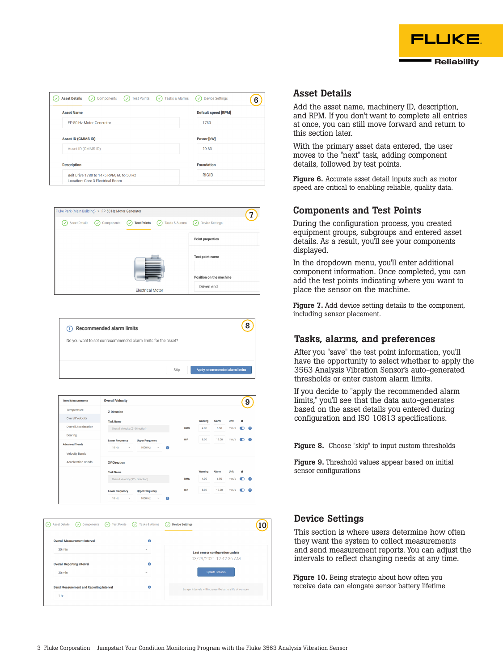

| <b>Test Points</b><br><b>Asset Details</b><br>Components<br><b>Tasks &amp; Alarms</b><br>V<br>$\overline{(\checkmark)}$<br>⇔ | <b>Device Settings</b><br>V<br>6 |  |  |
|------------------------------------------------------------------------------------------------------------------------------|----------------------------------|--|--|
| <b>Asset Name</b>                                                                                                            | <b>Default speed [RPM]</b>       |  |  |
| FP 50 Hz Motor Generator                                                                                                     | 1780                             |  |  |
| <b>Asset ID (CMMS ID)</b>                                                                                                    | Power [kW]                       |  |  |
| Asset ID (CMMS ID)                                                                                                           | 29.83                            |  |  |
| <b>Description</b>                                                                                                           | <b>Foundation</b>                |  |  |
| Belt Drive 1780 to 1475 RPM, 60 to 50 Hz<br>Location: Core 3 Electrical Room                                                 | <b>RIGID</b>                     |  |  |



| (i) Recommended alarm limits                                   |      | 8                              |
|----------------------------------------------------------------|------|--------------------------------|
| Do you want to set our recommended alarm limits for the asset? |      |                                |
|                                                                |      |                                |
|                                                                | Skip | Apply recommended alarm limits |



| <b>Overall Measurement Interval</b>            | Ω      |                                                             |  |
|------------------------------------------------|--------|-------------------------------------------------------------|--|
| $30 \text{ min}$                               | $\sim$ | Last sensor configuration update                            |  |
|                                                |        | 03/29/2021 12:42:36 AM                                      |  |
| <b>Overall Reporting Interval</b>              | o      |                                                             |  |
| 30 min                                         | $\sim$ | <b>Update Sensors</b>                                       |  |
| <b>Band Measurement and Reporting Interval</b> | ø      | Longer intervals will increase the battery life of sensors. |  |

## Asset Details

Add the asset name, machinery ID, description, and RPM. If you don't want to complete all entries at once, you can still move forward and return to this section later.

With the primary asset data entered, the user moves to the "next" task, adding component details, followed by test points.

Figure 6. Accurate asset detail inputs such as motor speed are critical to enabling reliable, quality data.

### Components and Test Points

During the configuration process, you created equipment groups, subgroups and entered asset details. As a result, you'll see your components displayed.

In the dropdown menu, you'll enter additional component information. Once completed, you can add the test points indicating where you want to place the sensor on the machine.

Figure 7. Add device setting details to the component, including sensor placement.

## Tasks, alarms, and preferences

After you "save" the test point information, you'll have the opportunity to select whether to apply the 3563 Analysis Vibration Sensor's auto-generated thresholds or enter custom alarm limits.

If you decide to "apply the recommended alarm limits," you'll see that the data auto-generates based on the asset details you entered during configuration and ISO 10813 specifications.

Figure 8. Choose "skip" to input custom thresholds

Figure 9. Threshold values appear based on initial sensor configurations

# Device Settings

This section is where users determine how often they want the system to collect measurements and send measurement reports. You can adjust the intervals to reflect changing needs at any time.

Figure 10. Being strategic about how often you receive data can elongate sensor battery lifetime